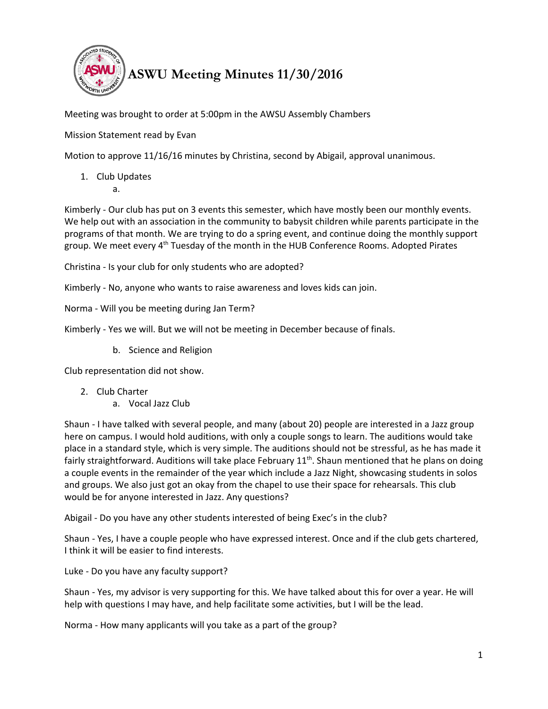

Meeting was brought to order at 5:00pm in the AWSU Assembly Chambers

Mission Statement read by Evan

Motion to approve 11/16/16 minutes by Christina, second by Abigail, approval unanimous.

1. Club Updates

a.

Kimberly - Our club has put on 3 events this semester, which have mostly been our monthly events. We help out with an association in the community to babysit children while parents participate in the programs of that month. We are trying to do a spring event, and continue doing the monthly support group. We meet every 4<sup>th</sup> Tuesday of the month in the HUB Conference Rooms. Adopted Pirates

Christina - Is your club for only students who are adopted?

Kimberly - No, anyone who wants to raise awareness and loves kids can join.

Norma - Will you be meeting during Jan Term?

Kimberly - Yes we will. But we will not be meeting in December because of finals.

b. Science and Religion

Club representation did not show.

- 2. Club Charter
	- a. Vocal Jazz Club

Shaun - I have talked with several people, and many (about 20) people are interested in a Jazz group here on campus. I would hold auditions, with only a couple songs to learn. The auditions would take place in a standard style, which is very simple. The auditions should not be stressful, as he has made it fairly straightforward. Auditions will take place February  $11<sup>th</sup>$ . Shaun mentioned that he plans on doing a couple events in the remainder of the year which include a Jazz Night, showcasing students in solos and groups. We also just got an okay from the chapel to use their space for rehearsals. This club would be for anyone interested in Jazz. Any questions?

Abigail - Do you have any other students interested of being Exec's in the club?

Shaun - Yes, I have a couple people who have expressed interest. Once and if the club gets chartered, I think it will be easier to find interests.

Luke - Do you have any faculty support?

Shaun - Yes, my advisor is very supporting for this. We have talked about this for over a year. He will help with questions I may have, and help facilitate some activities, but I will be the lead.

Norma - How many applicants will you take as a part of the group?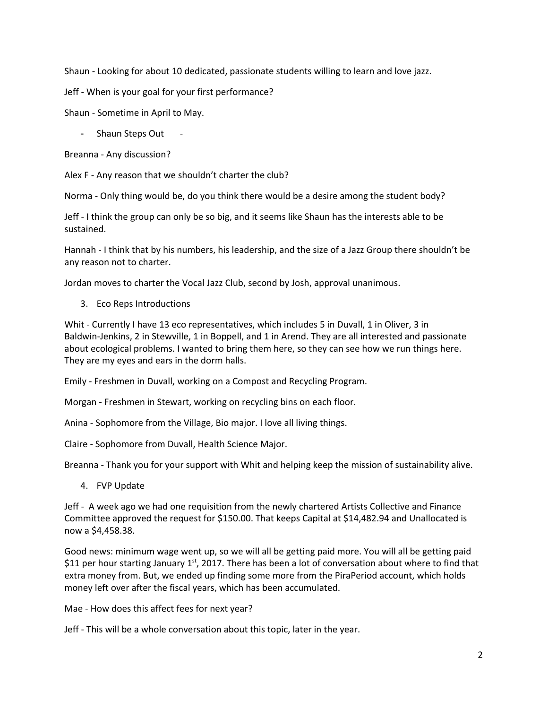Shaun - Looking for about 10 dedicated, passionate students willing to learn and love jazz.

Jeff - When is your goal for your first performance?

Shaun - Sometime in April to May.

- Shaun Steps Out

Breanna - Any discussion?

Alex F - Any reason that we shouldn't charter the club?

Norma - Only thing would be, do you think there would be a desire among the student body?

Jeff - I think the group can only be so big, and it seems like Shaun has the interests able to be sustained.

Hannah - I think that by his numbers, his leadership, and the size of a Jazz Group there shouldn't be any reason not to charter.

Jordan moves to charter the Vocal Jazz Club, second by Josh, approval unanimous.

3. Eco Reps Introductions

Whit - Currently I have 13 eco representatives, which includes 5 in Duvall, 1 in Oliver, 3 in Baldwin-Jenkins, 2 in Stewville, 1 in Boppell, and 1 in Arend. They are all interested and passionate about ecological problems. I wanted to bring them here, so they can see how we run things here. They are my eyes and ears in the dorm halls.

Emily - Freshmen in Duvall, working on a Compost and Recycling Program.

Morgan - Freshmen in Stewart, working on recycling bins on each floor.

Anina - Sophomore from the Village, Bio major. I love all living things.

Claire - Sophomore from Duvall, Health Science Major.

Breanna - Thank you for your support with Whit and helping keep the mission of sustainability alive.

4. FVP Update

Jeff - A week ago we had one requisition from the newly chartered Artists Collective and Finance Committee approved the request for \$150.00. That keeps Capital at \$14,482.94 and Unallocated is now a \$4,458.38.

Good news: minimum wage went up, so we will all be getting paid more. You will all be getting paid \$11 per hour starting January  $1<sup>st</sup>$ , 2017. There has been a lot of conversation about where to find that extra money from. But, we ended up finding some more from the PiraPeriod account, which holds money left over after the fiscal years, which has been accumulated.

Mae - How does this affect fees for next year?

Jeff - This will be a whole conversation about this topic, later in the year.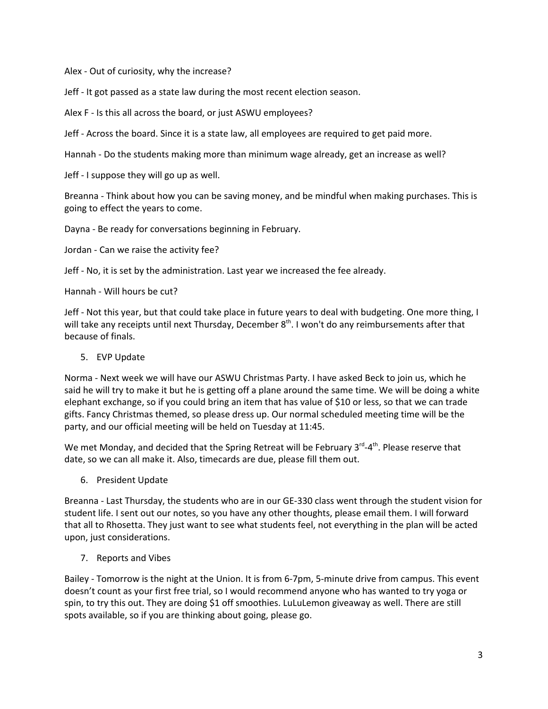Alex - Out of curiosity, why the increase?

Jeff - It got passed as a state law during the most recent election season.

Alex F - Is this all across the board, or just ASWU employees?

Jeff - Across the board. Since it is a state law, all employees are required to get paid more.

Hannah - Do the students making more than minimum wage already, get an increase as well?

Jeff - I suppose they will go up as well.

Breanna - Think about how you can be saving money, and be mindful when making purchases. This is going to effect the years to come.

Dayna - Be ready for conversations beginning in February.

Jordan - Can we raise the activity fee?

Jeff - No, it is set by the administration. Last year we increased the fee already.

Hannah - Will hours be cut?

Jeff - Not this year, but that could take place in future years to deal with budgeting. One more thing, I will take any receipts until next Thursday, December  $8<sup>th</sup>$ . I won't do any reimbursements after that because of finals.

5. EVP Update

Norma - Next week we will have our ASWU Christmas Party. I have asked Beck to join us, which he said he will try to make it but he is getting off a plane around the same time. We will be doing a white elephant exchange, so if you could bring an item that has value of \$10 or less, so that we can trade gifts. Fancy Christmas themed, so please dress up. Our normal scheduled meeting time will be the party, and our official meeting will be held on Tuesday at 11:45.

We met Monday, and decided that the Spring Retreat will be February 3<sup>rd</sup>-4<sup>th</sup>. Please reserve that date, so we can all make it. Also, timecards are due, please fill them out.

6. President Update

Breanna - Last Thursday, the students who are in our GE-330 class went through the student vision for student life. I sent out our notes, so you have any other thoughts, please email them. I will forward that all to Rhosetta. They just want to see what students feel, not everything in the plan will be acted upon, just considerations.

7. Reports and Vibes

Bailey - Tomorrow is the night at the Union. It is from 6-7pm, 5-minute drive from campus. This event doesn't count as your first free trial, so I would recommend anyone who has wanted to try yoga or spin, to try this out. They are doing \$1 off smoothies. LuLuLemon giveaway as well. There are still spots available, so if you are thinking about going, please go.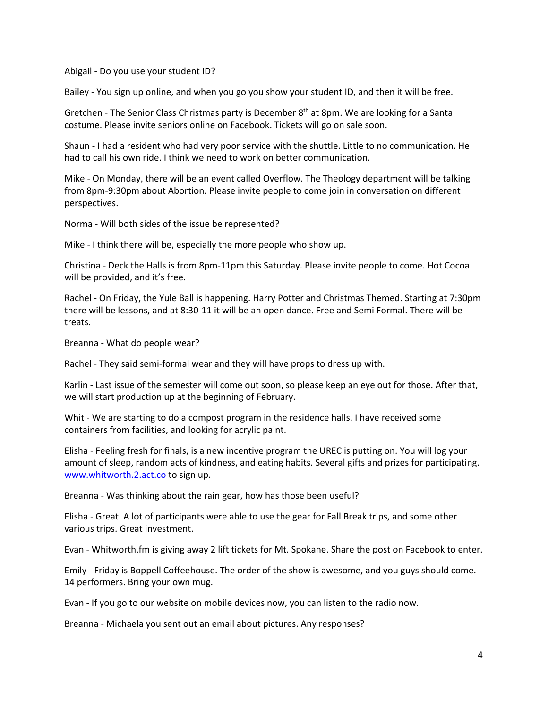Abigail - Do you use your student ID?

Bailey - You sign up online, and when you go you show your student ID, and then it will be free.

Gretchen - The Senior Class Christmas party is December  $8<sup>th</sup>$  at 8pm. We are looking for a Santa costume. Please invite seniors online on Facebook. Tickets will go on sale soon.

Shaun - I had a resident who had very poor service with the shuttle. Little to no communication. He had to call his own ride. I think we need to work on better communication.

Mike - On Monday, there will be an event called Overflow. The Theology department will be talking from 8pm-9:30pm about Abortion. Please invite people to come join in conversation on different perspectives.

Norma - Will both sides of the issue be represented?

Mike - I think there will be, especially the more people who show up.

Christina - Deck the Halls is from 8pm-11pm this Saturday. Please invite people to come. Hot Cocoa will be provided, and it's free.

Rachel - On Friday, the Yule Ball is happening. Harry Potter and Christmas Themed. Starting at 7:30pm there will be lessons, and at 8:30-11 it will be an open dance. Free and Semi Formal. There will be treats.

Breanna - What do people wear?

Rachel - They said semi-formal wear and they will have props to dress up with.

Karlin - Last issue of the semester will come out soon, so please keep an eye out for those. After that, we will start production up at the beginning of February.

Whit - We are starting to do a compost program in the residence halls. I have received some containers from facilities, and looking for acrylic paint.

Elisha - Feeling fresh for finals, is a new incentive program the UREC is putting on. You will log your amount of sleep, random acts of kindness, and eating habits. Several gifts and prizes for participating. [www.whitworth.2.act.co](http://www.whitworth.2.act.co/) to sign up.

Breanna - Was thinking about the rain gear, how has those been useful?

Elisha - Great. A lot of participants were able to use the gear for Fall Break trips, and some other various trips. Great investment.

Evan - Whitworth.fm is giving away 2 lift tickets for Mt. Spokane. Share the post on Facebook to enter.

Emily - Friday is Boppell Coffeehouse. The order of the show is awesome, and you guys should come. 14 performers. Bring your own mug.

Evan - If you go to our website on mobile devices now, you can listen to the radio now.

Breanna - Michaela you sent out an email about pictures. Any responses?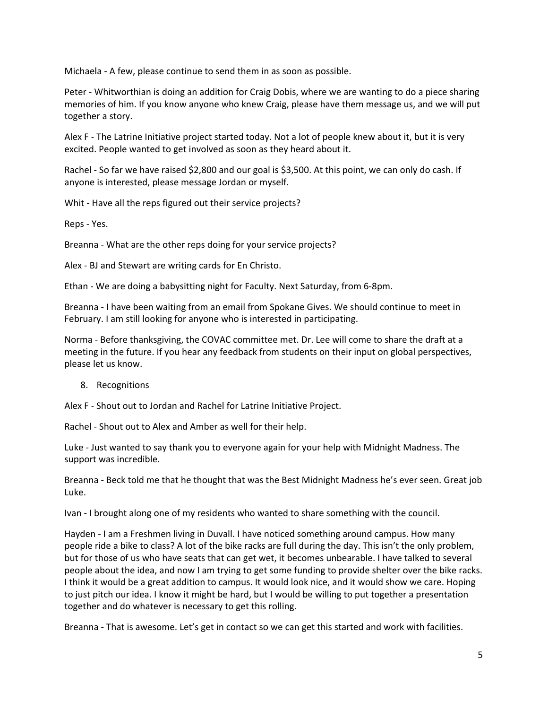Michaela - A few, please continue to send them in as soon as possible.

Peter - Whitworthian is doing an addition for Craig Dobis, where we are wanting to do a piece sharing memories of him. If you know anyone who knew Craig, please have them message us, and we will put together a story.

Alex F - The Latrine Initiative project started today. Not a lot of people knew about it, but it is very excited. People wanted to get involved as soon as they heard about it.

Rachel - So far we have raised \$2,800 and our goal is \$3,500. At this point, we can only do cash. If anyone is interested, please message Jordan or myself.

Whit - Have all the reps figured out their service projects?

Reps - Yes.

Breanna - What are the other reps doing for your service projects?

Alex - BJ and Stewart are writing cards for En Christo.

Ethan - We are doing a babysitting night for Faculty. Next Saturday, from 6-8pm.

Breanna - I have been waiting from an email from Spokane Gives. We should continue to meet in February. I am still looking for anyone who is interested in participating.

Norma - Before thanksgiving, the COVAC committee met. Dr. Lee will come to share the draft at a meeting in the future. If you hear any feedback from students on their input on global perspectives, please let us know.

8. Recognitions

Alex F - Shout out to Jordan and Rachel for Latrine Initiative Project.

Rachel - Shout out to Alex and Amber as well for their help.

Luke - Just wanted to say thank you to everyone again for your help with Midnight Madness. The support was incredible.

Breanna - Beck told me that he thought that was the Best Midnight Madness he's ever seen. Great job Luke.

Ivan - I brought along one of my residents who wanted to share something with the council.

Hayden - I am a Freshmen living in Duvall. I have noticed something around campus. How many people ride a bike to class? A lot of the bike racks are full during the day. This isn't the only problem, but for those of us who have seats that can get wet, it becomes unbearable. I have talked to several people about the idea, and now I am trying to get some funding to provide shelter over the bike racks. I think it would be a great addition to campus. It would look nice, and it would show we care. Hoping to just pitch our idea. I know it might be hard, but I would be willing to put together a presentation together and do whatever is necessary to get this rolling.

Breanna - That is awesome. Let's get in contact so we can get this started and work with facilities.